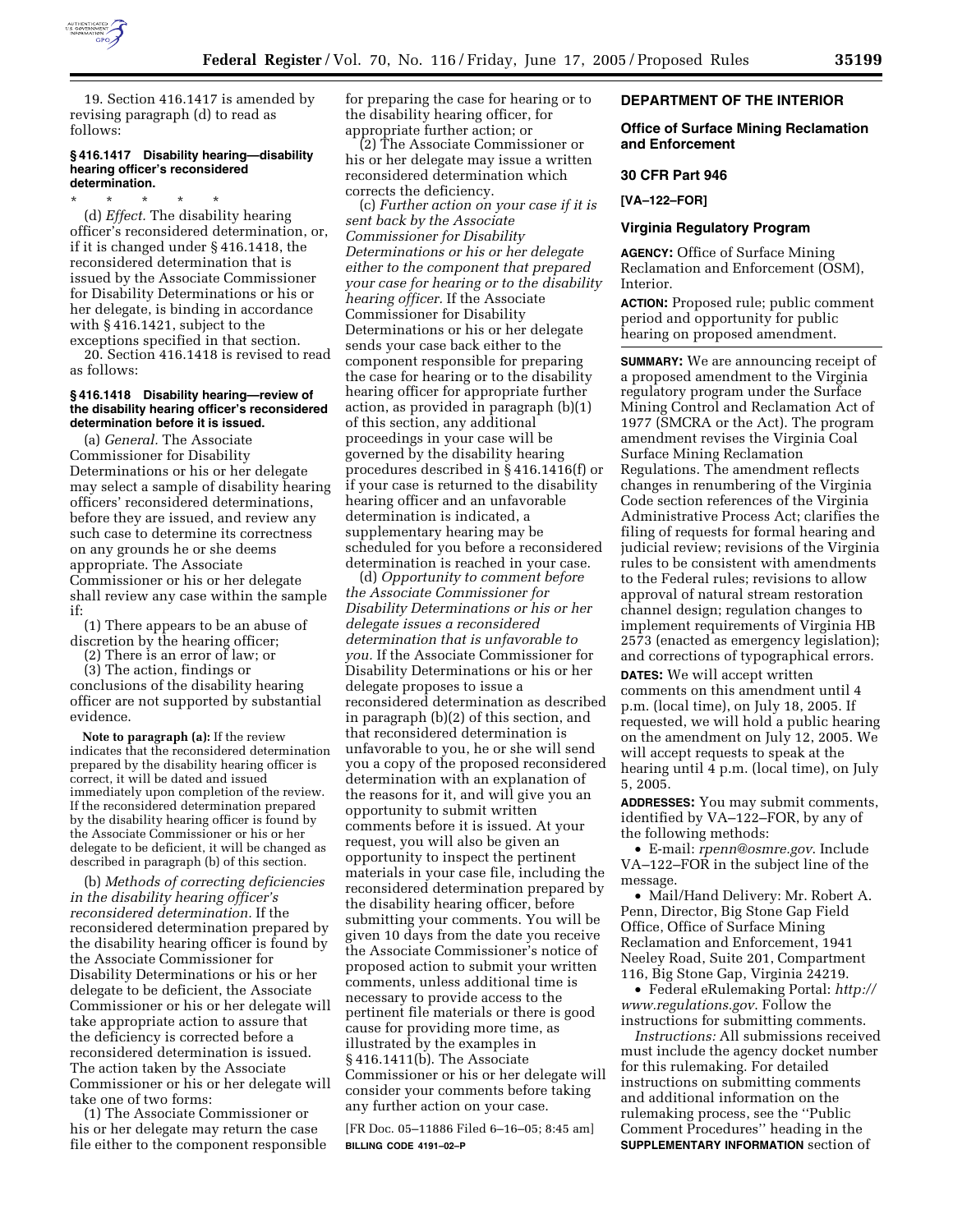

19. Section 416.1417 is amended by revising paragraph (d) to read as follows:

#### **§ 416.1417 Disability hearing—disability hearing officer's reconsidered determination.**

\* \* \* \* \*

(d) *Effect.* The disability hearing officer's reconsidered determination, or, if it is changed under § 416.1418, the reconsidered determination that is issued by the Associate Commissioner for Disability Determinations or his or her delegate, is binding in accordance with § 416.1421, subject to the exceptions specified in that section.

20. Section 416.1418 is revised to read as follows:

### **§ 416.1418 Disability hearing—review of the disability hearing officer's reconsidered determination before it is issued.**

(a) *General.* The Associate Commissioner for Disability Determinations or his or her delegate may select a sample of disability hearing officers' reconsidered determinations, before they are issued, and review any such case to determine its correctness on any grounds he or she deems appropriate. The Associate Commissioner or his or her delegate shall review any case within the sample if:

(1) There appears to be an abuse of discretion by the hearing officer;

(2) There is an error of law; or

(3) The action, findings or conclusions of the disability hearing officer are not supported by substantial evidence.

**Note to paragraph (a):** If the review indicates that the reconsidered determination prepared by the disability hearing officer is correct, it will be dated and issued immediately upon completion of the review. If the reconsidered determination prepared by the disability hearing officer is found by the Associate Commissioner or his or her delegate to be deficient, it will be changed as described in paragraph (b) of this section.

(b) *Methods of correcting deficiencies in the disability hearing officer's reconsidered determination.* If the reconsidered determination prepared by the disability hearing officer is found by the Associate Commissioner for Disability Determinations or his or her delegate to be deficient, the Associate Commissioner or his or her delegate will take appropriate action to assure that the deficiency is corrected before a reconsidered determination is issued. The action taken by the Associate Commissioner or his or her delegate will take one of two forms:

(1) The Associate Commissioner or his or her delegate may return the case file either to the component responsible for preparing the case for hearing or to the disability hearing officer, for appropriate further action; or

(2) The Associate Commissioner or his or her delegate may issue a written reconsidered determination which corrects the deficiency.

(c) *Further action on your case if it is sent back by the Associate Commissioner for Disability Determinations or his or her delegate either to the component that prepared your case for hearing or to the disability hearing officer.* If the Associate Commissioner for Disability Determinations or his or her delegate sends your case back either to the component responsible for preparing the case for hearing or to the disability hearing officer for appropriate further action, as provided in paragraph (b)(1) of this section, any additional proceedings in your case will be governed by the disability hearing procedures described in § 416.1416(f) or if your case is returned to the disability hearing officer and an unfavorable determination is indicated, a supplementary hearing may be scheduled for you before a reconsidered determination is reached in your case.

(d) *Opportunity to comment before the Associate Commissioner for Disability Determinations or his or her delegate issues a reconsidered determination that is unfavorable to you.* If the Associate Commissioner for Disability Determinations or his or her delegate proposes to issue a reconsidered determination as described in paragraph (b)(2) of this section, and that reconsidered determination is unfavorable to you, he or she will send you a copy of the proposed reconsidered determination with an explanation of the reasons for it, and will give you an opportunity to submit written comments before it is issued. At your request, you will also be given an opportunity to inspect the pertinent materials in your case file, including the reconsidered determination prepared by the disability hearing officer, before submitting your comments. You will be given 10 days from the date you receive the Associate Commissioner's notice of proposed action to submit your written comments, unless additional time is necessary to provide access to the pertinent file materials or there is good cause for providing more time, as illustrated by the examples in § 416.1411(b). The Associate Commissioner or his or her delegate will consider your comments before taking any further action on your case.

[FR Doc. 05–11886 Filed 6–16–05; 8:45 am] **BILLING CODE 4191–02–P**

### **DEPARTMENT OF THE INTERIOR**

#### **Office of Surface Mining Reclamation and Enforcement**

#### **30 CFR Part 946**

**[VA–122–FOR]** 

#### **Virginia Regulatory Program**

**AGENCY:** Office of Surface Mining Reclamation and Enforcement (OSM), Interior.

**ACTION:** Proposed rule; public comment period and opportunity for public hearing on proposed amendment.

**SUMMARY:** We are announcing receipt of a proposed amendment to the Virginia regulatory program under the Surface Mining Control and Reclamation Act of 1977 (SMCRA or the Act). The program amendment revises the Virginia Coal Surface Mining Reclamation Regulations. The amendment reflects changes in renumbering of the Virginia Code section references of the Virginia Administrative Process Act; clarifies the filing of requests for formal hearing and judicial review; revisions of the Virginia rules to be consistent with amendments to the Federal rules; revisions to allow approval of natural stream restoration channel design; regulation changes to implement requirements of Virginia HB 2573 (enacted as emergency legislation); and corrections of typographical errors.

**DATES:** We will accept written comments on this amendment until 4 p.m. (local time), on July 18, 2005. If requested, we will hold a public hearing on the amendment on July 12, 2005. We will accept requests to speak at the hearing until 4 p.m. (local time), on July 5, 2005.

**ADDRESSES:** You may submit comments, identified by VA–122–FOR, by any of the following methods:

• E-mail: *rpenn@osmre.gov*. Include VA–122–FOR in the subject line of the message.

• Mail/Hand Delivery: Mr. Robert A. Penn, Director, Big Stone Gap Field Office, Office of Surface Mining Reclamation and Enforcement, 1941 Neeley Road, Suite 201, Compartment 116, Big Stone Gap, Virginia 24219.

• Federal eRulemaking Portal: *http:// www.regulations.gov*. Follow the instructions for submitting comments.

*Instructions:* All submissions received must include the agency docket number for this rulemaking. For detailed instructions on submitting comments and additional information on the rulemaking process, see the ''Public Comment Procedures'' heading in the **SUPPLEMENTARY INFORMATION** section of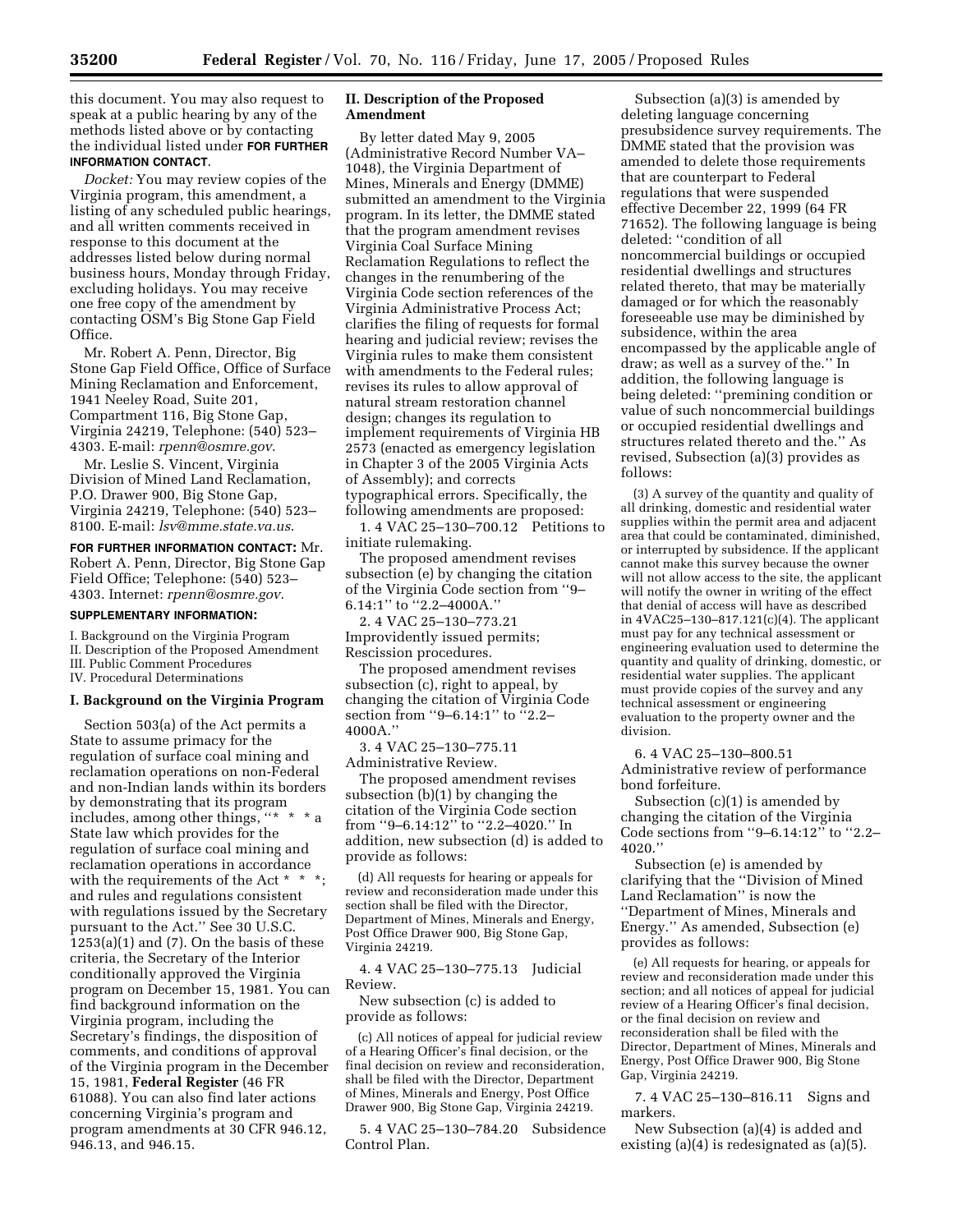this document. You may also request to speak at a public hearing by any of the methods listed above or by contacting the individual listed under **FOR FURTHER INFORMATION CONTACT**.

*Docket:* You may review copies of the Virginia program, this amendment, a listing of any scheduled public hearings, and all written comments received in response to this document at the addresses listed below during normal business hours, Monday through Friday, excluding holidays. You may receive one free copy of the amendment by contacting OSM's Big Stone Gap Field Office.

Mr. Robert A. Penn, Director, Big Stone Gap Field Office, Office of Surface Mining Reclamation and Enforcement, 1941 Neeley Road, Suite 201, Compartment 116, Big Stone Gap, Virginia 24219, Telephone: (540) 523– 4303. E-mail: *rpenn@osmre.gov*.

Mr. Leslie S. Vincent, Virginia Division of Mined Land Reclamation, P.O. Drawer 900, Big Stone Gap, Virginia 24219, Telephone: (540) 523– 8100. E-mail: *lsv@mme.state.va.us*.

**FOR FURTHER INFORMATION CONTACT:** Mr. Robert A. Penn, Director, Big Stone Gap Field Office; Telephone: (540) 523– 4303. Internet: *rpenn@osmre.gov*.

#### **SUPPLEMENTARY INFORMATION:**

I. Background on the Virginia Program II. Description of the Proposed Amendment III. Public Comment Procedures

IV. Procedural Determinations

#### **I. Background on the Virginia Program**

Section 503(a) of the Act permits a State to assume primacy for the regulation of surface coal mining and reclamation operations on non-Federal and non-Indian lands within its borders by demonstrating that its program includes, among other things, "\* State law which provides for the regulation of surface coal mining and reclamation operations in accordance with the requirements of the Act  $*$   $*$ and rules and regulations consistent with regulations issued by the Secretary pursuant to the Act.'' See 30 U.S.C.  $1253(a)(1)$  and  $(7)$ . On the basis of these criteria, the Secretary of the Interior conditionally approved the Virginia program on December 15, 1981. You can find background information on the Virginia program, including the Secretary's findings, the disposition of comments, and conditions of approval of the Virginia program in the December 15, 1981, **Federal Register** (46 FR 61088). You can also find later actions concerning Virginia's program and program amendments at 30 CFR 946.12, 946.13, and 946.15.

# **II. Description of the Proposed Amendment**

By letter dated May 9, 2005 (Administrative Record Number VA– 1048), the Virginia Department of Mines, Minerals and Energy (DMME) submitted an amendment to the Virginia program. In its letter, the DMME stated that the program amendment revises Virginia Coal Surface Mining Reclamation Regulations to reflect the changes in the renumbering of the Virginia Code section references of the Virginia Administrative Process Act; clarifies the filing of requests for formal hearing and judicial review; revises the Virginia rules to make them consistent with amendments to the Federal rules; revises its rules to allow approval of natural stream restoration channel design; changes its regulation to implement requirements of Virginia HB 2573 (enacted as emergency legislation in Chapter 3 of the 2005 Virginia Acts of Assembly); and corrects typographical errors. Specifically, the following amendments are proposed:

1. 4 VAC 25–130–700.12 Petitions to initiate rulemaking.

The proposed amendment revises subsection (e) by changing the citation of the Virginia Code section from ''9– 6.14:1'' to ''2.2–4000A.''

2. 4 VAC 25–130–773.21 Improvidently issued permits; Rescission procedures.

The proposed amendment revises subsection (c), right to appeal, by changing the citation of Virginia Code section from ''9–6.14:1'' to ''2.2– 4000A.''

3. 4 VAC 25–130–775.11 Administrative Review.

The proposed amendment revises subsection (b)(1) by changing the citation of the Virginia Code section from ''9–6.14:12'' to ''2.2–4020.'' In addition, new subsection (d) is added to provide as follows:

(d) All requests for hearing or appeals for review and reconsideration made under this section shall be filed with the Director, Department of Mines, Minerals and Energy, Post Office Drawer 900, Big Stone Gap, Virginia 24219.

4. 4 VAC 25–130–775.13 Judicial Review.

New subsection (c) is added to provide as follows:

(c) All notices of appeal for judicial review of a Hearing Officer's final decision, or the final decision on review and reconsideration, shall be filed with the Director, Department of Mines, Minerals and Energy, Post Office Drawer 900, Big Stone Gap, Virginia 24219.

5. 4 VAC 25–130–784.20 Subsidence Control Plan.

Subsection (a)(3) is amended by deleting language concerning presubsidence survey requirements. The DMME stated that the provision was amended to delete those requirements that are counterpart to Federal regulations that were suspended effective December 22, 1999 (64 FR 71652). The following language is being deleted: ''condition of all noncommercial buildings or occupied residential dwellings and structures related thereto, that may be materially damaged or for which the reasonably foreseeable use may be diminished by subsidence, within the area encompassed by the applicable angle of draw; as well as a survey of the.'' In addition, the following language is being deleted: ''premining condition or value of such noncommercial buildings or occupied residential dwellings and structures related thereto and the.'' As revised, Subsection (a)(3) provides as follows:

(3) A survey of the quantity and quality of all drinking, domestic and residential water supplies within the permit area and adjacent area that could be contaminated, diminished, or interrupted by subsidence. If the applicant cannot make this survey because the owner will not allow access to the site, the applicant will notify the owner in writing of the effect that denial of access will have as described in 4VAC25–130–817.121(c)(4). The applicant must pay for any technical assessment or engineering evaluation used to determine the quantity and quality of drinking, domestic, or residential water supplies. The applicant must provide copies of the survey and any technical assessment or engineering evaluation to the property owner and the division.

6. 4 VAC 25–130–800.51 Administrative review of performance bond forfeiture.

Subsection (c)(1) is amended by changing the citation of the Virginia Code sections from ''9–6.14:12'' to ''2.2– 4020.''

Subsection (e) is amended by clarifying that the ''Division of Mined Land Reclamation'' is now the ''Department of Mines, Minerals and Energy.'' As amended, Subsection (e) provides as follows:

(e) All requests for hearing, or appeals for review and reconsideration made under this section; and all notices of appeal for judicial review of a Hearing Officer's final decision, or the final decision on review and reconsideration shall be filed with the Director, Department of Mines, Minerals and Energy, Post Office Drawer 900, Big Stone Gap, Virginia 24219.

7. 4 VAC 25–130–816.11 Signs and markers.

New Subsection (a)(4) is added and existing (a)(4) is redesignated as (a)(5).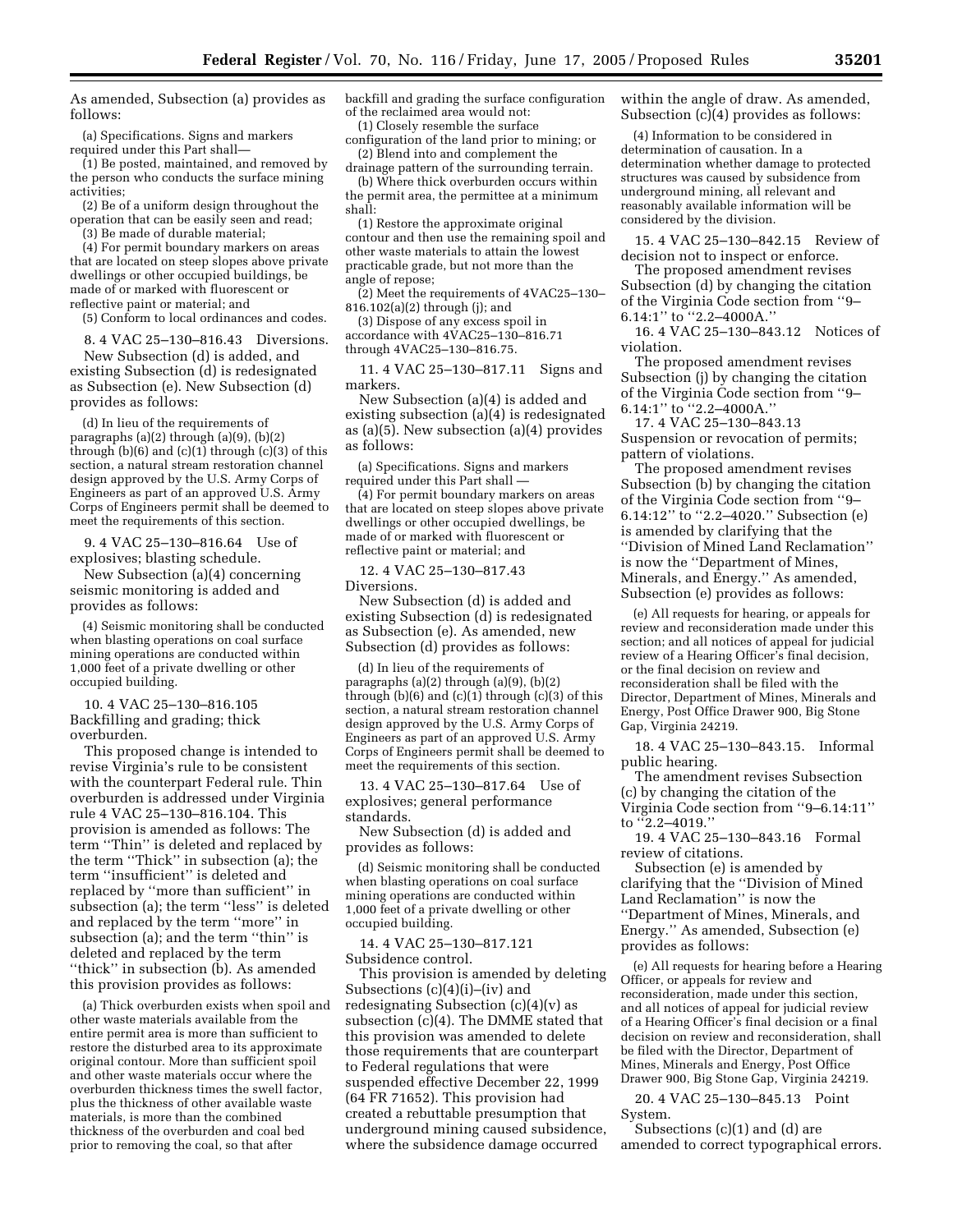As amended, Subsection (a) provides as follows:

(a) Specifications. Signs and markers required under this Part shall—

(1) Be posted, maintained, and removed by the person who conducts the surface mining activities;

(2) Be of a uniform design throughout the operation that can be easily seen and read; (3) Be made of durable material;

(4) For permit boundary markers on areas that are located on steep slopes above private dwellings or other occupied buildings, be made of or marked with fluorescent or reflective paint or material; and

(5) Conform to local ordinances and codes.

8. 4 VAC 25–130–816.43 Diversions. New Subsection (d) is added, and existing Subsection (d) is redesignated as Subsection (e). New Subsection (d) provides as follows:

(d) In lieu of the requirements of paragraphs (a)(2) through (a)(9), (b)(2) through  $(b)(6)$  and  $(c)(1)$  through  $(c)(3)$  of this section, a natural stream restoration channel design approved by the U.S. Army Corps of Engineers as part of an approved U.S. Army Corps of Engineers permit shall be deemed to meet the requirements of this section.

9. 4 VAC 25–130–816.64 Use of explosives; blasting schedule.

New Subsection (a)(4) concerning seismic monitoring is added and provides as follows:

(4) Seismic monitoring shall be conducted when blasting operations on coal surface mining operations are conducted within 1,000 feet of a private dwelling or other occupied building.

10. 4 VAC 25–130–816.105 Backfilling and grading; thick overburden.

This proposed change is intended to revise Virginia's rule to be consistent with the counterpart Federal rule. Thin overburden is addressed under Virginia rule 4 VAC 25–130–816.104. This provision is amended as follows: The term ''Thin'' is deleted and replaced by the term ''Thick'' in subsection (a); the term ''insufficient'' is deleted and replaced by ''more than sufficient'' in subsection (a); the term ''less'' is deleted and replaced by the term ''more'' in subsection (a); and the term "thin" is deleted and replaced by the term ''thick'' in subsection (b). As amended this provision provides as follows:

(a) Thick overburden exists when spoil and other waste materials available from the entire permit area is more than sufficient to restore the disturbed area to its approximate original contour. More than sufficient spoil and other waste materials occur where the overburden thickness times the swell factor, plus the thickness of other available waste materials, is more than the combined thickness of the overburden and coal bed prior to removing the coal, so that after

backfill and grading the surface configuration of the reclaimed area would not:

(1) Closely resemble the surface

configuration of the land prior to mining; or (2) Blend into and complement the drainage pattern of the surrounding terrain.

(b) Where thick overburden occurs within the permit area, the permittee at a minimum shall:

(1) Restore the approximate original contour and then use the remaining spoil and other waste materials to attain the lowest practicable grade, but not more than the angle of repose;

(2) Meet the requirements of 4VAC25–130– 816.102(a)(2) through (j); and

(3) Dispose of any excess spoil in accordance with 4VAC25–130–816.71 through 4VAC25–130–816.75.

11. 4 VAC 25–130–817.11 Signs and markers.

New Subsection (a)(4) is added and existing subsection (a)(4) is redesignated as (a)(5). New subsection (a)(4) provides as follows:

(a) Specifications. Signs and markers required under this Part shall —

(4) For permit boundary markers on areas that are located on steep slopes above private dwellings or other occupied dwellings, be made of or marked with fluorescent or reflective paint or material; and

12. 4 VAC 25–130–817.43 Diversions.

New Subsection (d) is added and existing Subsection (d) is redesignated as Subsection (e). As amended, new Subsection (d) provides as follows:

(d) In lieu of the requirements of paragraphs (a)(2) through (a)(9),  $(b)(2)$ through  $(b)(6)$  and  $(c)(1)$  through  $(c)(3)$  of this section, a natural stream restoration channel design approved by the U.S. Army Corps of Engineers as part of an approved U.S. Army Corps of Engineers permit shall be deemed to meet the requirements of this section.

13. 4 VAC 25–130–817.64 Use of explosives; general performance standards.

New Subsection (d) is added and provides as follows:

(d) Seismic monitoring shall be conducted when blasting operations on coal surface mining operations are conducted within 1,000 feet of a private dwelling or other occupied building.

14. 4 VAC 25–130–817.121 Subsidence control.

This provision is amended by deleting Subsections (c)(4)(i)–(iv) and redesignating Subsection  $(c)(4)(v)$  as subsection (c)(4). The DMME stated that this provision was amended to delete those requirements that are counterpart to Federal regulations that were suspended effective December 22, 1999 (64 FR 71652). This provision had created a rebuttable presumption that underground mining caused subsidence, where the subsidence damage occurred

within the angle of draw. As amended, Subsection (c)(4) provides as follows:

(4) Information to be considered in determination of causation. In a determination whether damage to protected structures was caused by subsidence from underground mining, all relevant and reasonably available information will be considered by the division.

15. 4 VAC 25–130–842.15 Review of decision not to inspect or enforce.

The proposed amendment revises Subsection (d) by changing the citation of the Virginia Code section from ''9– 6.14:1'' to ''2.2–4000A.''

16. 4 VAC 25–130–843.12 Notices of violation.

The proposed amendment revises Subsection (j) by changing the citation of the Virginia Code section from ''9– 6.14:1'' to ''2.2–4000A.''

17. 4 VAC 25–130–843.13 Suspension or revocation of permits; pattern of violations.

The proposed amendment revises Subsection (b) by changing the citation of the Virginia Code section from ''9– 6.14:12'' to ''2.2–4020.'' Subsection (e) is amended by clarifying that the ''Division of Mined Land Reclamation'' is now the ''Department of Mines, Minerals, and Energy.'' As amended, Subsection (e) provides as follows:

(e) All requests for hearing, or appeals for review and reconsideration made under this section; and all notices of appeal for judicial review of a Hearing Officer's final decision, or the final decision on review and reconsideration shall be filed with the Director, Department of Mines, Minerals and Energy, Post Office Drawer 900, Big Stone Gap, Virginia 24219.

18. 4 VAC 25–130–843.15. Informal public hearing.

The amendment revises Subsection (c) by changing the citation of the Virginia Code section from ''9–6.14:11'' to ''2.2–4019.''

19. 4 VAC 25–130–843.16 Formal review of citations.

Subsection (e) is amended by clarifying that the ''Division of Mined Land Reclamation'' is now the ''Department of Mines, Minerals, and Energy.'' As amended, Subsection (e) provides as follows:

(e) All requests for hearing before a Hearing Officer, or appeals for review and reconsideration, made under this section, and all notices of appeal for judicial review of a Hearing Officer's final decision or a final decision on review and reconsideration, shall be filed with the Director, Department of Mines, Minerals and Energy, Post Office Drawer 900, Big Stone Gap, Virginia 24219.

20. 4 VAC 25–130–845.13 Point System.

Subsections (c)(1) and (d) are amended to correct typographical errors.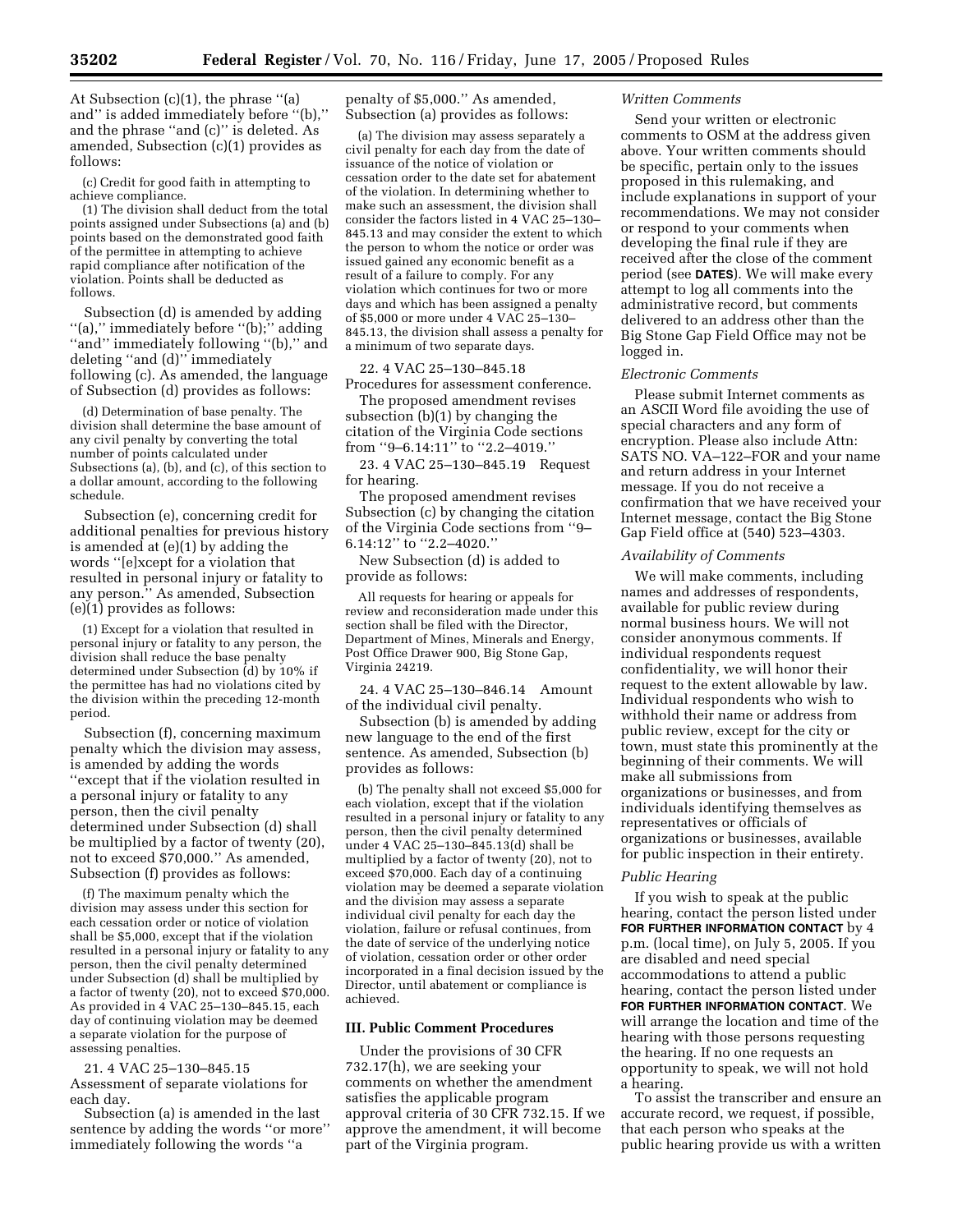At Subsection (c)(1), the phrase ''(a) and'' is added immediately before ''(b),'' and the phrase ''and (c)'' is deleted. As amended, Subsection (c)(1) provides as follows:

(c) Credit for good faith in attempting to achieve compliance.

(1) The division shall deduct from the total points assigned under Subsections (a) and (b) points based on the demonstrated good faith of the permittee in attempting to achieve rapid compliance after notification of the violation. Points shall be deducted as follows.

Subsection (d) is amended by adding ''(a),'' immediately before ''(b);'' adding "and" immediately following "(b)," and deleting ''and (d)'' immediately following (c). As amended, the language of Subsection (d) provides as follows:

(d) Determination of base penalty. The division shall determine the base amount of any civil penalty by converting the total number of points calculated under Subsections (a), (b), and (c), of this section to a dollar amount, according to the following schedule.

Subsection (e), concerning credit for additional penalties for previous history is amended at (e)(1) by adding the words ''[e]xcept for a violation that resulted in personal injury or fatality to any person.'' As amended, Subsection (e)(1) provides as follows:

(1) Except for a violation that resulted in personal injury or fatality to any person, the division shall reduce the base penalty determined under Subsection (d) by 10% if the permittee has had no violations cited by the division within the preceding 12-month period.

Subsection (f), concerning maximum penalty which the division may assess, is amended by adding the words ''except that if the violation resulted in a personal injury or fatality to any person, then the civil penalty determined under Subsection (d) shall be multiplied by a factor of twenty (20), not to exceed \$70,000.'' As amended, Subsection (f) provides as follows:

(f) The maximum penalty which the division may assess under this section for each cessation order or notice of violation shall be \$5,000, except that if the violation resulted in a personal injury or fatality to any person, then the civil penalty determined under Subsection (d) shall be multiplied by a factor of twenty (20), not to exceed \$70,000. As provided in 4 VAC 25–130–845.15, each day of continuing violation may be deemed a separate violation for the purpose of assessing penalties.

21. 4 VAC 25–130–845.15 Assessment of separate violations for each day.

Subsection (a) is amended in the last sentence by adding the words ''or more'' immediately following the words ''a

penalty of \$5,000.'' As amended, Subsection (a) provides as follows:

(a) The division may assess separately a civil penalty for each day from the date of issuance of the notice of violation or cessation order to the date set for abatement of the violation. In determining whether to make such an assessment, the division shall consider the factors listed in 4 VAC 25–130– 845.13 and may consider the extent to which the person to whom the notice or order was issued gained any economic benefit as a result of a failure to comply. For any violation which continues for two or more days and which has been assigned a penalty of \$5,000 or more under 4 VAC 25–130– 845.13, the division shall assess a penalty for a minimum of two separate days.

22. 4 VAC 25–130–845.18 Procedures for assessment conference.

The proposed amendment revises subsection (b)(1) by changing the citation of the Virginia Code sections from ''9–6.14:11'' to ''2.2–4019.''

23. 4 VAC 25–130–845.19 Request for hearing.

The proposed amendment revises Subsection (c) by changing the citation of the Virginia Code sections from ''9– 6.14:12'' to ''2.2–4020.''

New Subsection (d) is added to provide as follows:

All requests for hearing or appeals for review and reconsideration made under this section shall be filed with the Director, Department of Mines, Minerals and Energy, Post Office Drawer 900, Big Stone Gap, Virginia 24219.

24. 4 VAC 25–130–846.14 Amount of the individual civil penalty.

Subsection (b) is amended by adding new language to the end of the first sentence. As amended, Subsection (b) provides as follows:

(b) The penalty shall not exceed \$5,000 for each violation, except that if the violation resulted in a personal injury or fatality to any person, then the civil penalty determined under 4 VAC 25-130- $\overline{845.13}$ (d) shall be multiplied by a factor of twenty (20), not to exceed \$70,000. Each day of a continuing violation may be deemed a separate violation and the division may assess a separate individual civil penalty for each day the violation, failure or refusal continues, from the date of service of the underlying notice of violation, cessation order or other order incorporated in a final decision issued by the Director, until abatement or compliance is achieved.

#### **III. Public Comment Procedures**

Under the provisions of 30 CFR 732.17(h), we are seeking your comments on whether the amendment satisfies the applicable program approval criteria of 30 CFR 732.15. If we approve the amendment, it will become part of the Virginia program.

## *Written Comments*

Send your written or electronic comments to OSM at the address given above. Your written comments should be specific, pertain only to the issues proposed in this rulemaking, and include explanations in support of your recommendations. We may not consider or respond to your comments when developing the final rule if they are received after the close of the comment period (see **DATES**). We will make every attempt to log all comments into the administrative record, but comments delivered to an address other than the Big Stone Gap Field Office may not be logged in.

# *Electronic Comments*

Please submit Internet comments as an ASCII Word file avoiding the use of special characters and any form of encryption. Please also include Attn: SATS NO. VA–122–FOR and your name and return address in your Internet message. If you do not receive a confirmation that we have received your Internet message, contact the Big Stone Gap Field office at (540) 523–4303.

#### *Availability of Comments*

We will make comments, including names and addresses of respondents, available for public review during normal business hours. We will not consider anonymous comments. If individual respondents request confidentiality, we will honor their request to the extent allowable by law. Individual respondents who wish to withhold their name or address from public review, except for the city or town, must state this prominently at the beginning of their comments. We will make all submissions from organizations or businesses, and from individuals identifying themselves as representatives or officials of organizations or businesses, available for public inspection in their entirety.

#### *Public Hearing*

If you wish to speak at the public hearing, contact the person listed under **FOR FURTHER INFORMATION CONTACT** by 4 p.m. (local time), on July 5, 2005. If you are disabled and need special accommodations to attend a public hearing, contact the person listed under **FOR FURTHER INFORMATION CONTACT**. We will arrange the location and time of the hearing with those persons requesting the hearing. If no one requests an opportunity to speak, we will not hold a hearing.

To assist the transcriber and ensure an accurate record, we request, if possible, that each person who speaks at the public hearing provide us with a written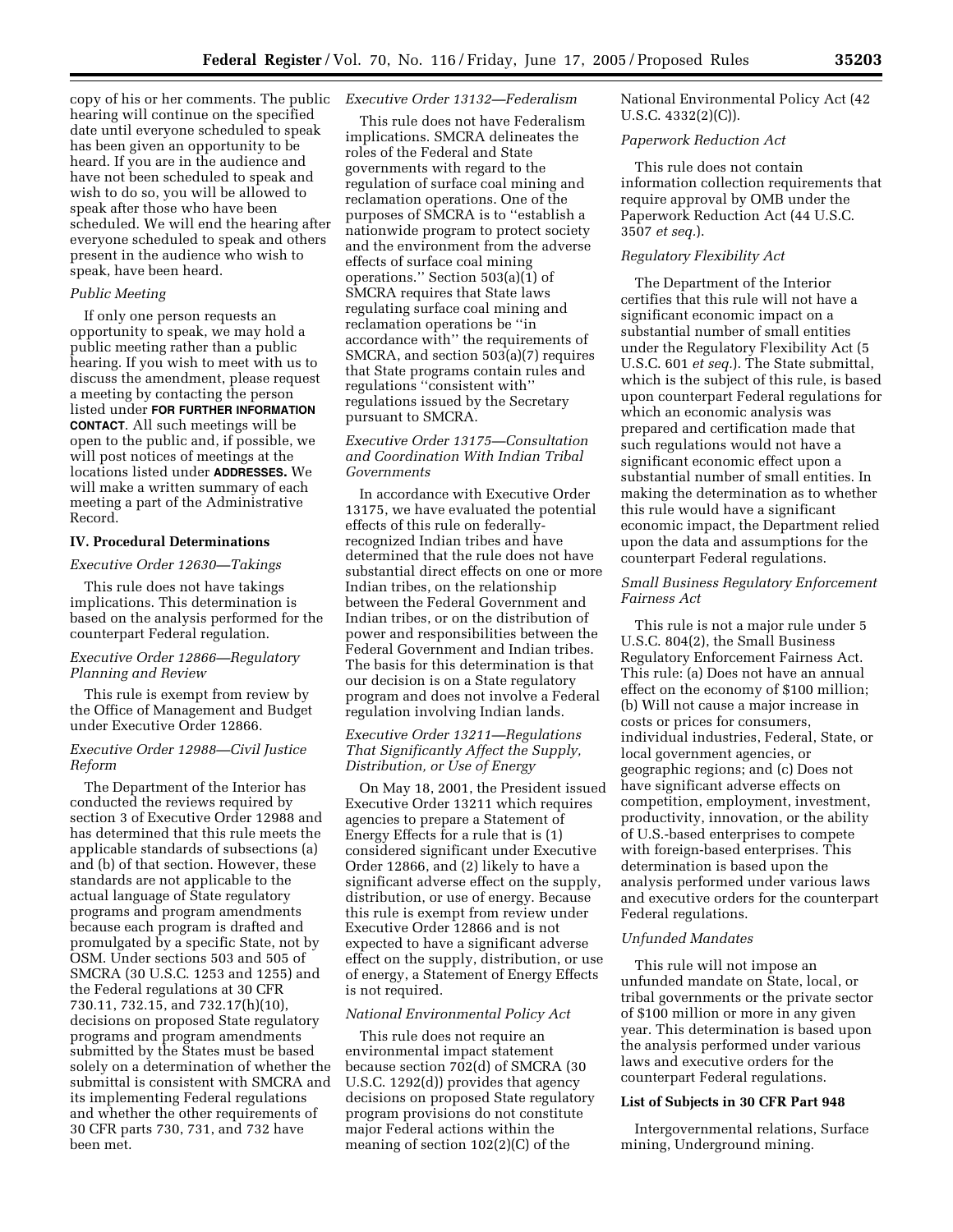copy of his or her comments. The public hearing will continue on the specified date until everyone scheduled to speak has been given an opportunity to be heard. If you are in the audience and have not been scheduled to speak and wish to do so, you will be allowed to speak after those who have been scheduled. We will end the hearing after everyone scheduled to speak and others present in the audience who wish to speak, have been heard.

#### *Public Meeting*

If only one person requests an opportunity to speak, we may hold a public meeting rather than a public hearing. If you wish to meet with us to discuss the amendment, please request a meeting by contacting the person listed under **FOR FURTHER INFORMATION CONTACT**. All such meetings will be open to the public and, if possible, we will post notices of meetings at the locations listed under **ADDRESSES.** We will make a written summary of each meeting a part of the Administrative Record.

## **IV. Procedural Determinations**

#### *Executive Order 12630—Takings*

This rule does not have takings implications. This determination is based on the analysis performed for the counterpart Federal regulation.

# *Executive Order 12866—Regulatory Planning and Review*

This rule is exempt from review by the Office of Management and Budget under Executive Order 12866.

### *Executive Order 12988—Civil Justice Reform*

The Department of the Interior has conducted the reviews required by section 3 of Executive Order 12988 and has determined that this rule meets the applicable standards of subsections (a) and (b) of that section. However, these standards are not applicable to the actual language of State regulatory programs and program amendments because each program is drafted and promulgated by a specific State, not by OSM. Under sections 503 and 505 of SMCRA (30 U.S.C. 1253 and 1255) and the Federal regulations at 30 CFR 730.11, 732.15, and 732.17(h)(10), decisions on proposed State regulatory programs and program amendments submitted by the States must be based solely on a determination of whether the submittal is consistent with SMCRA and its implementing Federal regulations and whether the other requirements of 30 CFR parts 730, 731, and 732 have been met.

### *Executive Order 13132—Federalism*

This rule does not have Federalism implications. SMCRA delineates the roles of the Federal and State governments with regard to the regulation of surface coal mining and reclamation operations. One of the purposes of SMCRA is to ''establish a nationwide program to protect society and the environment from the adverse effects of surface coal mining operations.'' Section 503(a)(1) of SMCRA requires that State laws regulating surface coal mining and reclamation operations be ''in accordance with'' the requirements of SMCRA, and section 503(a)(7) requires that State programs contain rules and regulations ''consistent with'' regulations issued by the Secretary pursuant to SMCRA.

## *Executive Order 13175—Consultation and Coordination With Indian Tribal Governments*

In accordance with Executive Order 13175, we have evaluated the potential effects of this rule on federallyrecognized Indian tribes and have determined that the rule does not have substantial direct effects on one or more Indian tribes, on the relationship between the Federal Government and Indian tribes, or on the distribution of power and responsibilities between the Federal Government and Indian tribes. The basis for this determination is that our decision is on a State regulatory program and does not involve a Federal regulation involving Indian lands.

## *Executive Order 13211—Regulations That Significantly Affect the Supply, Distribution, or Use of Energy*

On May 18, 2001, the President issued Executive Order 13211 which requires agencies to prepare a Statement of Energy Effects for a rule that is (1) considered significant under Executive Order 12866, and (2) likely to have a significant adverse effect on the supply, distribution, or use of energy. Because this rule is exempt from review under Executive Order 12866 and is not expected to have a significant adverse effect on the supply, distribution, or use of energy, a Statement of Energy Effects is not required.

#### *National Environmental Policy Act*

This rule does not require an environmental impact statement because section 702(d) of SMCRA (30 U.S.C. 1292(d)) provides that agency decisions on proposed State regulatory program provisions do not constitute major Federal actions within the meaning of section 102(2)(C) of the

National Environmental Policy Act (42 U.S.C. 4332(2)(C)).

### *Paperwork Reduction Act*

This rule does not contain information collection requirements that require approval by OMB under the Paperwork Reduction Act (44 U.S.C. 3507 *et seq.*).

## *Regulatory Flexibility Act*

The Department of the Interior certifies that this rule will not have a significant economic impact on a substantial number of small entities under the Regulatory Flexibility Act (5 U.S.C. 601 *et seq.*). The State submittal, which is the subject of this rule, is based upon counterpart Federal regulations for which an economic analysis was prepared and certification made that such regulations would not have a significant economic effect upon a substantial number of small entities. In making the determination as to whether this rule would have a significant economic impact, the Department relied upon the data and assumptions for the counterpart Federal regulations.

# *Small Business Regulatory Enforcement Fairness Act*

This rule is not a major rule under 5 U.S.C. 804(2), the Small Business Regulatory Enforcement Fairness Act. This rule: (a) Does not have an annual effect on the economy of \$100 million; (b) Will not cause a major increase in costs or prices for consumers, individual industries, Federal, State, or local government agencies, or geographic regions; and (c) Does not have significant adverse effects on competition, employment, investment, productivity, innovation, or the ability of U.S.-based enterprises to compete with foreign-based enterprises. This determination is based upon the analysis performed under various laws and executive orders for the counterpart Federal regulations.

### *Unfunded Mandates*

This rule will not impose an unfunded mandate on State, local, or tribal governments or the private sector of \$100 million or more in any given year. This determination is based upon the analysis performed under various laws and executive orders for the counterpart Federal regulations.

### **List of Subjects in 30 CFR Part 948**

Intergovernmental relations, Surface mining, Underground mining.